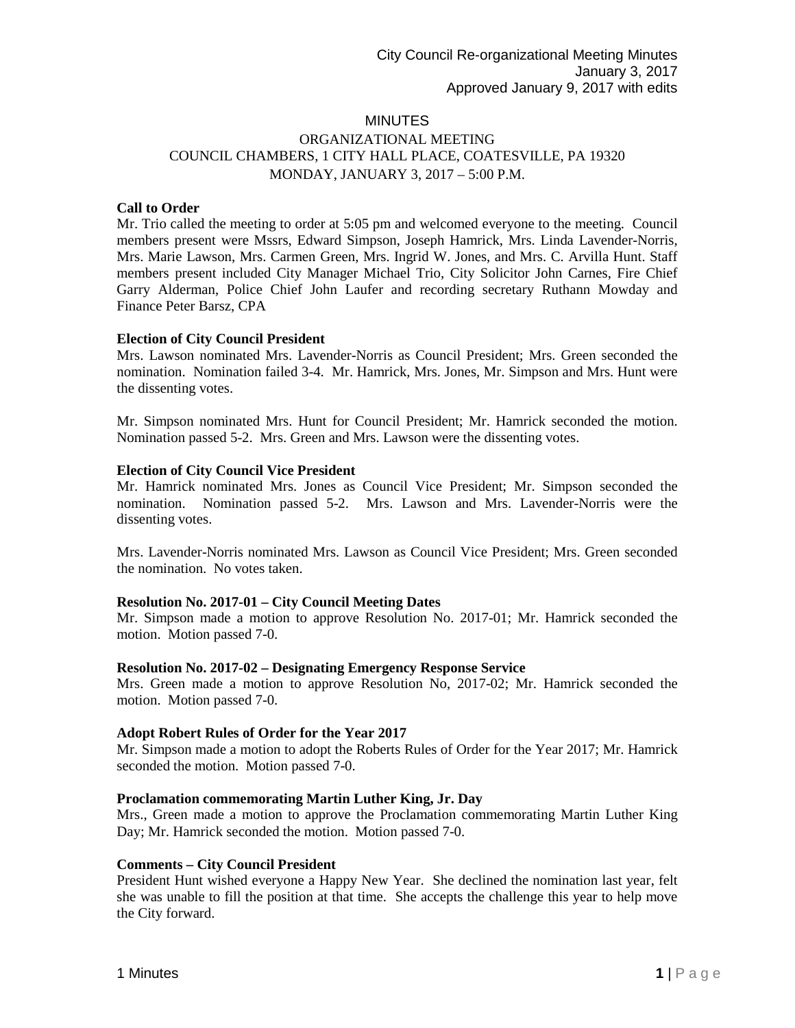# **MINUTES**

# ORGANIZATIONAL MEETING COUNCIL CHAMBERS, 1 CITY HALL PLACE, COATESVILLE, PA 19320 MONDAY, JANUARY 3, 2017 – 5:00 P.M.

## **Call to Order**

Mr. Trio called the meeting to order at 5:05 pm and welcomed everyone to the meeting. Council members present were Mssrs, Edward Simpson, Joseph Hamrick, Mrs. Linda Lavender-Norris, Mrs. Marie Lawson, Mrs. Carmen Green, Mrs. Ingrid W. Jones, and Mrs. C. Arvilla Hunt. Staff members present included City Manager Michael Trio, City Solicitor John Carnes, Fire Chief Garry Alderman, Police Chief John Laufer and recording secretary Ruthann Mowday and Finance Peter Barsz, CPA

## **Election of City Council President**

Mrs. Lawson nominated Mrs. Lavender-Norris as Council President; Mrs. Green seconded the nomination. Nomination failed 3-4. Mr. Hamrick, Mrs. Jones, Mr. Simpson and Mrs. Hunt were the dissenting votes.

Mr. Simpson nominated Mrs. Hunt for Council President; Mr. Hamrick seconded the motion. Nomination passed 5-2. Mrs. Green and Mrs. Lawson were the dissenting votes.

### **Election of City Council Vice President**

Mr. Hamrick nominated Mrs. Jones as Council Vice President; Mr. Simpson seconded the nomination. Nomination passed 5-2. Mrs. Lawson and Mrs. Lavender-Norris were the dissenting votes.

Mrs. Lavender-Norris nominated Mrs. Lawson as Council Vice President; Mrs. Green seconded the nomination. No votes taken.

#### **Resolution No. 2017-01 – City Council Meeting Dates**

Mr. Simpson made a motion to approve Resolution No. 2017-01; Mr. Hamrick seconded the motion. Motion passed 7-0.

#### **Resolution No. 2017-02 – Designating Emergency Response Service**

Mrs. Green made a motion to approve Resolution No, 2017-02; Mr. Hamrick seconded the motion. Motion passed 7-0.

#### **Adopt Robert Rules of Order for the Year 2017**

Mr. Simpson made a motion to adopt the Roberts Rules of Order for the Year 2017; Mr. Hamrick seconded the motion. Motion passed 7-0.

#### **Proclamation commemorating Martin Luther King, Jr. Day**

Mrs., Green made a motion to approve the Proclamation commemorating Martin Luther King Day; Mr. Hamrick seconded the motion. Motion passed 7-0.

### **Comments – City Council President**

President Hunt wished everyone a Happy New Year. She declined the nomination last year, felt she was unable to fill the position at that time. She accepts the challenge this year to help move the City forward.